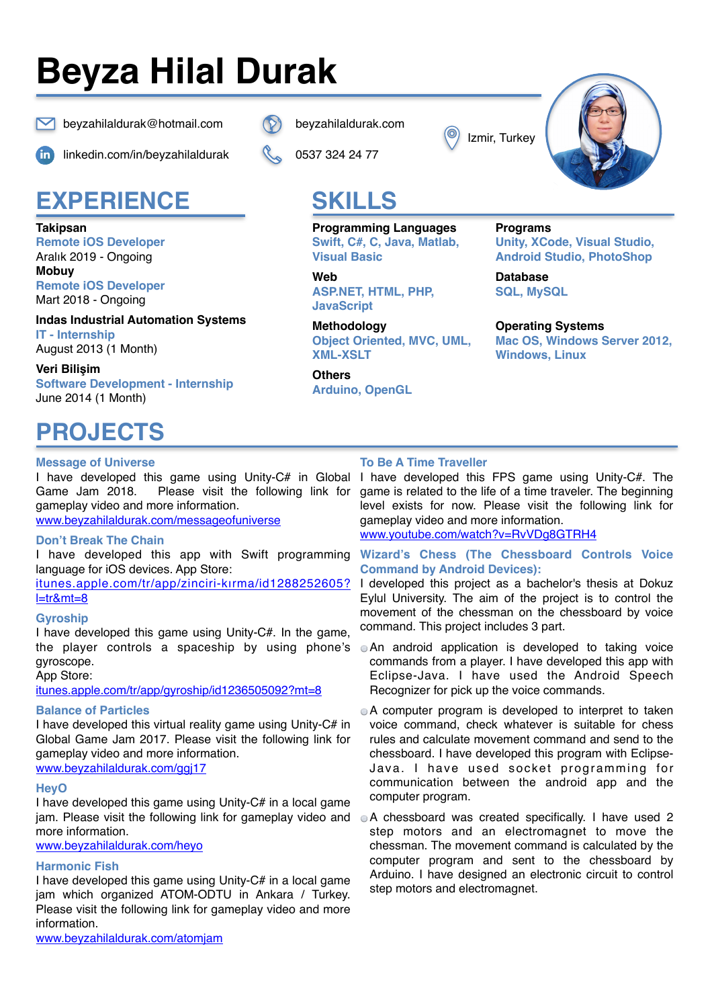# **Beyza Hilal Durak**



 $\blacksquare$  beyzahilaldurak@hotmail.com  $\lozenge$  [beyzahilaldurak.com](http://beyzahilaldurak.com)

### **EXPERIENCE**

**Takipsan Remote iOS Developer** 

Aralık 2019 - Ongoing **Mobuy**

**Remote iOS Developer**  Mart 2018 - Ongoing

**Indas Industrial Automation Systems IT - Internship**  August 2013 (1 Month)

**Veri Bilişim Software Development - Internship** June 2014 (1 Month)

### **PROJECTS**

#### **Message of Universe**

I have developed this game using Unity-C# in Global Please visit the following link for gameplay video and more information. [www.beyzahilaldurak.com/messageofuniverse](http://www.beyzahilaldurak.com/messageofuniverse)

#### **Don't Break The Chain**

I have developed this app with Swift programming language for iOS devices. App Store:

[itunes.apple.com/tr/app/zinciri-kırma/id1288252605?](http://itunes.apple.com/tr/app/zinciri-k%C4%B1rma/id1288252605?l=tr&mt=8) [l=tr&mt=8](http://itunes.apple.com/tr/app/zinciri-k%C4%B1rma/id1288252605?l=tr&mt=8)

#### **Gyroship**

I have developed this game using Unity-C#. In the game, the player controls a spaceship by using phone's gyroscope.

App Store:

[itunes.apple.com/tr/app/gyroship/id1236505092?mt=8](http://itunes.apple.com/tr/app/gyroship/id1236505092?mt=8)

#### **Balance of Particles**

I have developed this virtual reality game using Unity-C# in Global Game Jam 2017. Please visit the following link for gameplay video and more information. www.beyzahilaldurak.com/ggi17

#### **HeyO**

I have developed this game using Unity-C# in a local game jam. Please visit the following link for gameplay video and more information.

[www.beyzahilaldurak.com/heyo](http://www.beyzahilaldurak.com/heyo)

#### **Harmonic Fish**

I have developed this game using Unity-C# in a local game jam which organized ATOM-ODTU in Ankara / Turkey. Please visit the following link for gameplay video and more information.

[linkedin.com/in/beyzahilaldurak](http://linkedin.com/in/beyzahilaldurak) 0537 324 24 77

Izmir, Turkey



## **SKILLS**

**Programming Languages Programs** 

**Web Database ASP.NET, HTML, PHP, SQL, MySQL JavaScript**

**Methodology Operating Systems Object Oriented, MVC, UML, Mac OS, Windows Server 2012,**

**Others Arduino, OpenGL**

### **Swift, C#, C, Java, Matlab, Unity, XCode, Visual Studio, Visual Basic Communist Communist Android Studio, PhotoShop**

Windows, Linux

#### **To Be A Time Traveller**

I have developed this FPS game using Unity-C#. The game is related to the life of a time traveler. The beginning level exists for now. Please visit the following link for gameplay video and more information.

[www.youtube.com/watch?v=RvVDg8GTRH4](http://www.youtube.com/watch?v=RvVDg8GTRH4)

#### **Wizard's Chess (The Chessboard Controls Voice Command by Android Devices):**

I developed this project as a bachelor's thesis at Dokuz Eylul University. The aim of the project is to control the movement of the chessman on the chessboard by voice command. This project includes 3 part.

- An android application is developed to taking voice commands from a player. I have developed this app with Eclipse-Java. I have used the Android Speech Recognizer for pick up the voice commands.
- A computer program is developed to interpret to taken voice command, check whatever is suitable for chess rules and calculate movement command and send to the chessboard. I have developed this program with Eclipse-Java. I have used socket programming for communication between the android app and the computer program.
- A chessboard was created specifically. I have used 2 step motors and an electromagnet to move the chessman. The movement command is calculated by the computer program and sent to the chessboard by Arduino. I have designed an electronic circuit to control step motors and electromagnet.

[www.beyzahilaldurak.com/atomjam](http://www.beyzahilaldurak.com/atomjam)